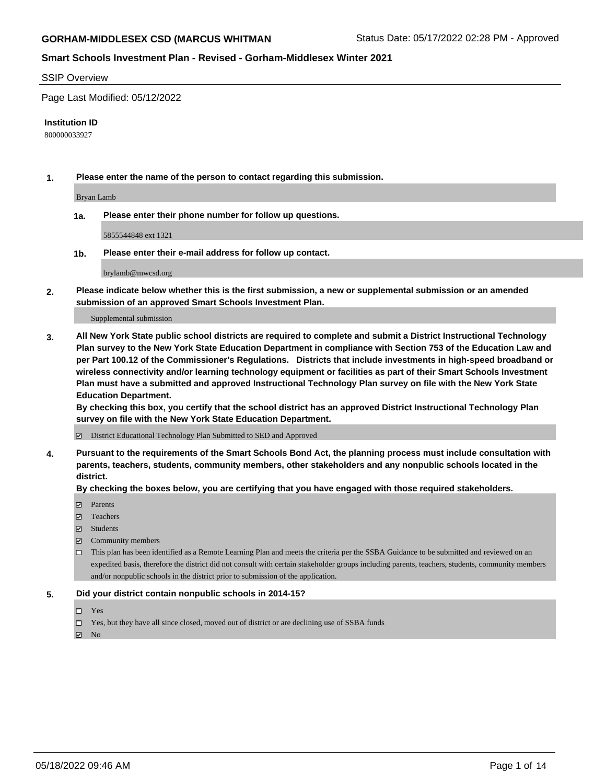#### SSIP Overview

Page Last Modified: 05/12/2022

#### **Institution ID**

800000033927

**1. Please enter the name of the person to contact regarding this submission.**

Bryan Lamb

**1a. Please enter their phone number for follow up questions.**

5855544848 ext 1321

**1b. Please enter their e-mail address for follow up contact.**

brylamb@mwcsd.org

**2. Please indicate below whether this is the first submission, a new or supplemental submission or an amended submission of an approved Smart Schools Investment Plan.**

Supplemental submission

**3. All New York State public school districts are required to complete and submit a District Instructional Technology Plan survey to the New York State Education Department in compliance with Section 753 of the Education Law and per Part 100.12 of the Commissioner's Regulations. Districts that include investments in high-speed broadband or wireless connectivity and/or learning technology equipment or facilities as part of their Smart Schools Investment Plan must have a submitted and approved Instructional Technology Plan survey on file with the New York State Education Department.** 

**By checking this box, you certify that the school district has an approved District Instructional Technology Plan survey on file with the New York State Education Department.**

District Educational Technology Plan Submitted to SED and Approved

**4. Pursuant to the requirements of the Smart Schools Bond Act, the planning process must include consultation with parents, teachers, students, community members, other stakeholders and any nonpublic schools located in the district.** 

**By checking the boxes below, you are certifying that you have engaged with those required stakeholders.**

- $\blacksquare$  Parents
- Teachers
- Students
- $\Xi$  Community members
- This plan has been identified as a Remote Learning Plan and meets the criteria per the SSBA Guidance to be submitted and reviewed on an expedited basis, therefore the district did not consult with certain stakeholder groups including parents, teachers, students, community members and/or nonpublic schools in the district prior to submission of the application.

#### **5. Did your district contain nonpublic schools in 2014-15?**

- Yes
- $\Box$  Yes, but they have all since closed, moved out of district or are declining use of SSBA funds

 $\boxtimes$  No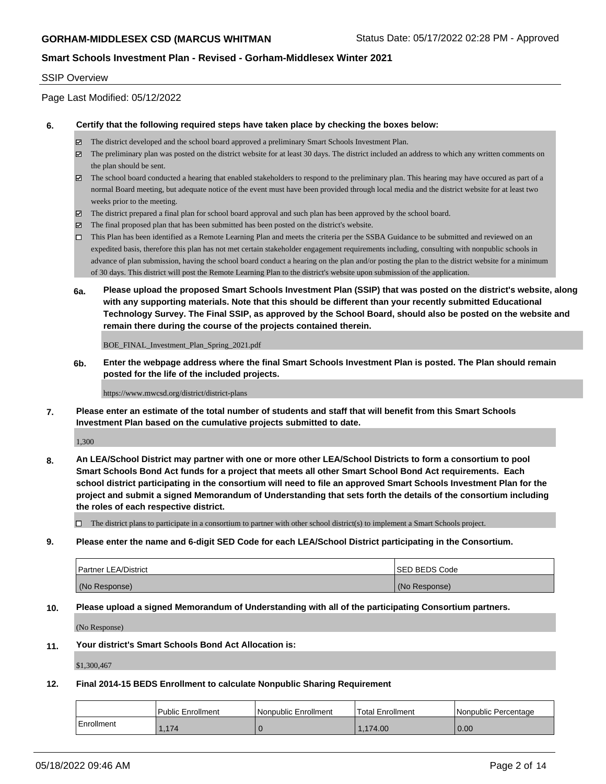### SSIP Overview

Page Last Modified: 05/12/2022

### **6. Certify that the following required steps have taken place by checking the boxes below:**

- The district developed and the school board approved a preliminary Smart Schools Investment Plan.
- $\boxtimes$  The preliminary plan was posted on the district website for at least 30 days. The district included an address to which any written comments on the plan should be sent.
- $\boxtimes$  The school board conducted a hearing that enabled stakeholders to respond to the preliminary plan. This hearing may have occured as part of a normal Board meeting, but adequate notice of the event must have been provided through local media and the district website for at least two weeks prior to the meeting.
- The district prepared a final plan for school board approval and such plan has been approved by the school board.
- $\boxtimes$  The final proposed plan that has been submitted has been posted on the district's website.
- This Plan has been identified as a Remote Learning Plan and meets the criteria per the SSBA Guidance to be submitted and reviewed on an expedited basis, therefore this plan has not met certain stakeholder engagement requirements including, consulting with nonpublic schools in advance of plan submission, having the school board conduct a hearing on the plan and/or posting the plan to the district website for a minimum of 30 days. This district will post the Remote Learning Plan to the district's website upon submission of the application.
- **6a. Please upload the proposed Smart Schools Investment Plan (SSIP) that was posted on the district's website, along with any supporting materials. Note that this should be different than your recently submitted Educational Technology Survey. The Final SSIP, as approved by the School Board, should also be posted on the website and remain there during the course of the projects contained therein.**

BOE\_FINAL\_Investment\_Plan\_Spring\_2021.pdf

**6b. Enter the webpage address where the final Smart Schools Investment Plan is posted. The Plan should remain posted for the life of the included projects.**

https://www.mwcsd.org/district/district-plans

**7. Please enter an estimate of the total number of students and staff that will benefit from this Smart Schools Investment Plan based on the cumulative projects submitted to date.**

1,300

**8. An LEA/School District may partner with one or more other LEA/School Districts to form a consortium to pool Smart Schools Bond Act funds for a project that meets all other Smart School Bond Act requirements. Each school district participating in the consortium will need to file an approved Smart Schools Investment Plan for the project and submit a signed Memorandum of Understanding that sets forth the details of the consortium including the roles of each respective district.**

 $\Box$  The district plans to participate in a consortium to partner with other school district(s) to implement a Smart Schools project.

**9. Please enter the name and 6-digit SED Code for each LEA/School District participating in the Consortium.**

| <b>Partner LEA/District</b> | <b>ISED BEDS Code</b> |
|-----------------------------|-----------------------|
| (No Response)               | (No Response)         |

### **10. Please upload a signed Memorandum of Understanding with all of the participating Consortium partners.**

(No Response)

#### **11. Your district's Smart Schools Bond Act Allocation is:**

\$1,300,467

#### **12. Final 2014-15 BEDS Enrollment to calculate Nonpublic Sharing Requirement**

|            | Public Enrollment | Nonpublic Enrollment | <b>Total Enrollment</b> | l Nonpublic Percentage |
|------------|-------------------|----------------------|-------------------------|------------------------|
| Enrollment | 1,174             |                      | 1.174.00                | 0.00                   |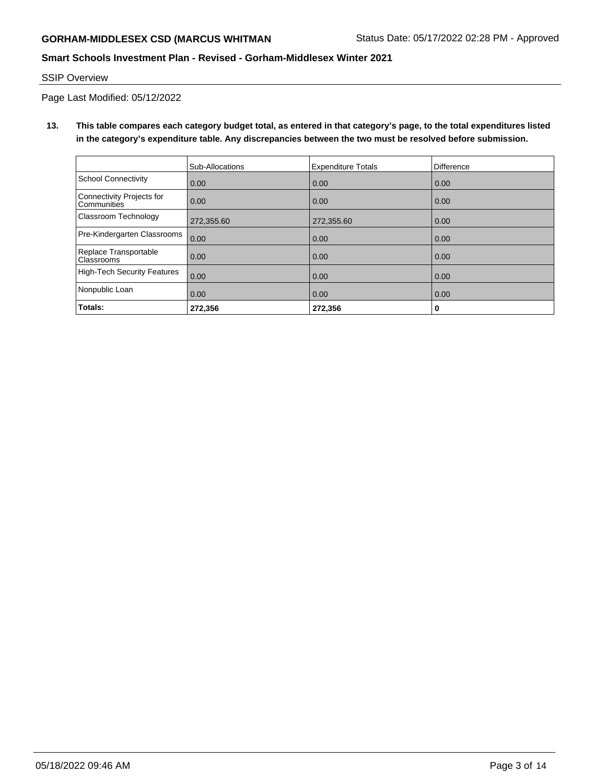### SSIP Overview

Page Last Modified: 05/12/2022

**13. This table compares each category budget total, as entered in that category's page, to the total expenditures listed in the category's expenditure table. Any discrepancies between the two must be resolved before submission.**

|                                                 | Sub-Allocations | <b>Expenditure Totals</b> | <b>Difference</b> |
|-------------------------------------------------|-----------------|---------------------------|-------------------|
| School Connectivity                             | 0.00            | 0.00                      | 0.00              |
| Connectivity Projects for<br><b>Communities</b> | 0.00            | 0.00                      | 0.00              |
| Classroom Technology                            | 272,355.60      | 272,355.60                | 0.00              |
| Pre-Kindergarten Classrooms                     | 0.00            | 0.00                      | 0.00              |
| Replace Transportable<br>Classrooms             | 0.00            | 0.00                      | 0.00              |
| High-Tech Security Features                     | 0.00            | 0.00                      | 0.00              |
| Nonpublic Loan                                  | 0.00            | 0.00                      | 0.00              |
| Totals:                                         | 272,356         | 272,356                   | 0                 |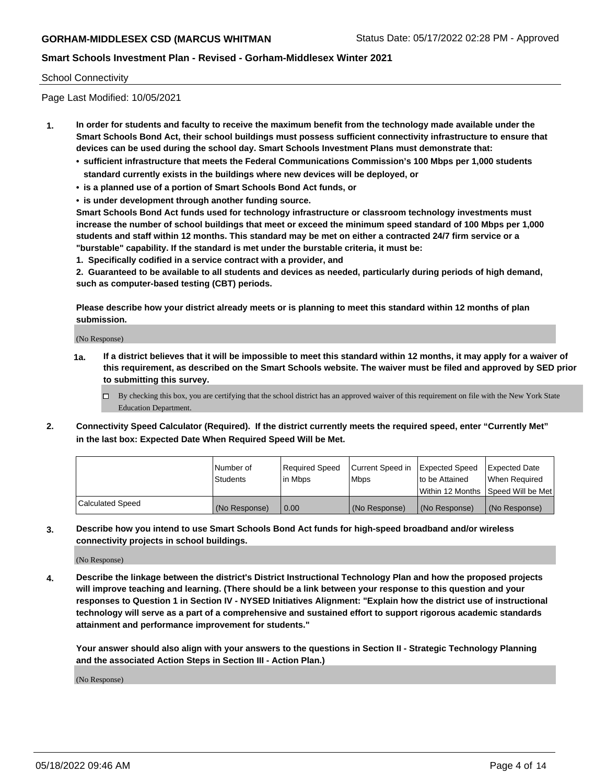### School Connectivity

Page Last Modified: 10/05/2021

- **1. In order for students and faculty to receive the maximum benefit from the technology made available under the Smart Schools Bond Act, their school buildings must possess sufficient connectivity infrastructure to ensure that devices can be used during the school day. Smart Schools Investment Plans must demonstrate that:**
	- **• sufficient infrastructure that meets the Federal Communications Commission's 100 Mbps per 1,000 students standard currently exists in the buildings where new devices will be deployed, or**
	- **• is a planned use of a portion of Smart Schools Bond Act funds, or**
	- **• is under development through another funding source.**

**Smart Schools Bond Act funds used for technology infrastructure or classroom technology investments must increase the number of school buildings that meet or exceed the minimum speed standard of 100 Mbps per 1,000 students and staff within 12 months. This standard may be met on either a contracted 24/7 firm service or a "burstable" capability. If the standard is met under the burstable criteria, it must be:**

**1. Specifically codified in a service contract with a provider, and**

**2. Guaranteed to be available to all students and devices as needed, particularly during periods of high demand, such as computer-based testing (CBT) periods.**

**Please describe how your district already meets or is planning to meet this standard within 12 months of plan submission.**

(No Response)

- **1a. If a district believes that it will be impossible to meet this standard within 12 months, it may apply for a waiver of this requirement, as described on the Smart Schools website. The waiver must be filed and approved by SED prior to submitting this survey.**
	- By checking this box, you are certifying that the school district has an approved waiver of this requirement on file with the New York State Education Department.
- **2. Connectivity Speed Calculator (Required). If the district currently meets the required speed, enter "Currently Met" in the last box: Expected Date When Required Speed Will be Met.**

|                  | l Number of<br><b>Students</b> | Required Speed<br>l in Mbps | Current Speed in<br><b>Mbps</b> | <b>Expected Speed</b><br>to be Attained | Expected Date<br>When Reauired |
|------------------|--------------------------------|-----------------------------|---------------------------------|-----------------------------------------|--------------------------------|
|                  |                                |                             |                                 | Within 12 Months 1Speed Will be Met     |                                |
| Calculated Speed | (No Response)                  | 0.00                        | (No Response)                   | (No Response)                           | (No Response)                  |

**3. Describe how you intend to use Smart Schools Bond Act funds for high-speed broadband and/or wireless connectivity projects in school buildings.**

(No Response)

**4. Describe the linkage between the district's District Instructional Technology Plan and how the proposed projects will improve teaching and learning. (There should be a link between your response to this question and your responses to Question 1 in Section IV - NYSED Initiatives Alignment: "Explain how the district use of instructional technology will serve as a part of a comprehensive and sustained effort to support rigorous academic standards attainment and performance improvement for students."** 

**Your answer should also align with your answers to the questions in Section II - Strategic Technology Planning and the associated Action Steps in Section III - Action Plan.)**

(No Response)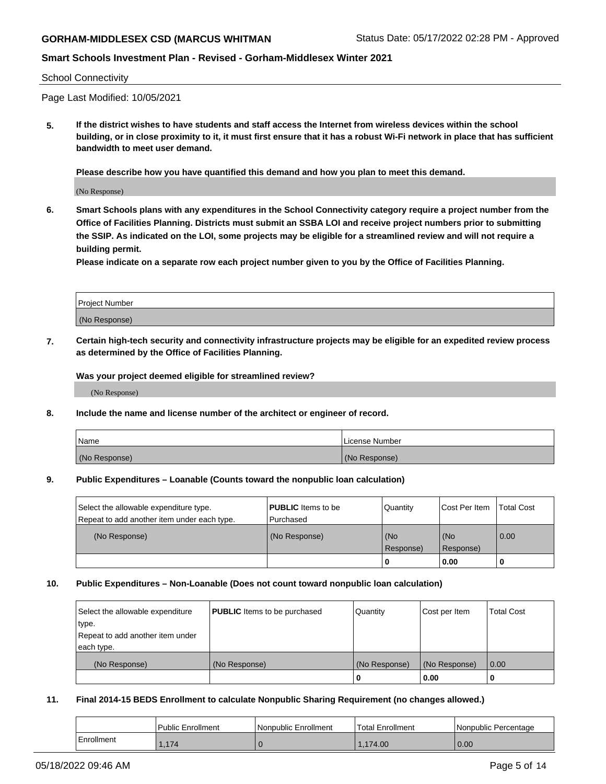### School Connectivity

Page Last Modified: 10/05/2021

**5. If the district wishes to have students and staff access the Internet from wireless devices within the school building, or in close proximity to it, it must first ensure that it has a robust Wi-Fi network in place that has sufficient bandwidth to meet user demand.**

**Please describe how you have quantified this demand and how you plan to meet this demand.**

(No Response)

**6. Smart Schools plans with any expenditures in the School Connectivity category require a project number from the Office of Facilities Planning. Districts must submit an SSBA LOI and receive project numbers prior to submitting the SSIP. As indicated on the LOI, some projects may be eligible for a streamlined review and will not require a building permit.**

**Please indicate on a separate row each project number given to you by the Office of Facilities Planning.**

| Project Number |  |
|----------------|--|
| (No Response)  |  |

**7. Certain high-tech security and connectivity infrastructure projects may be eligible for an expedited review process as determined by the Office of Facilities Planning.**

**Was your project deemed eligible for streamlined review?**

(No Response)

#### **8. Include the name and license number of the architect or engineer of record.**

| Name          | I License Number |
|---------------|------------------|
| (No Response) | (No Response)    |

#### **9. Public Expenditures – Loanable (Counts toward the nonpublic loan calculation)**

| Select the allowable expenditure type.<br>Repeat to add another item under each type. | <b>PUBLIC</b> Items to be<br>l Purchased | Quantity         | Cost Per Item    | <b>Total Cost</b> |
|---------------------------------------------------------------------------------------|------------------------------------------|------------------|------------------|-------------------|
| (No Response)                                                                         | (No Response)                            | (No<br>Response) | (No<br>Response) | 0.00              |
|                                                                                       |                                          | -0               | 0.00             |                   |

### **10. Public Expenditures – Non-Loanable (Does not count toward nonpublic loan calculation)**

| Select the allowable expenditure | <b>PUBLIC</b> Items to be purchased | Quantity      | Cost per Item | <b>Total Cost</b> |
|----------------------------------|-------------------------------------|---------------|---------------|-------------------|
| type.                            |                                     |               |               |                   |
| Repeat to add another item under |                                     |               |               |                   |
| each type.                       |                                     |               |               |                   |
| (No Response)                    | (No Response)                       | (No Response) | (No Response) | 0.00              |
|                                  |                                     | U             | 0.00          |                   |

### **11. Final 2014-15 BEDS Enrollment to calculate Nonpublic Sharing Requirement (no changes allowed.)**

|            | <b>Public Enrollment</b> | Nonpublic Enrollment | 'Total Enrollment | l Nonpublic Percentage |
|------------|--------------------------|----------------------|-------------------|------------------------|
| Enrollment | 1.174                    |                      | 1.174.00          | 0.00                   |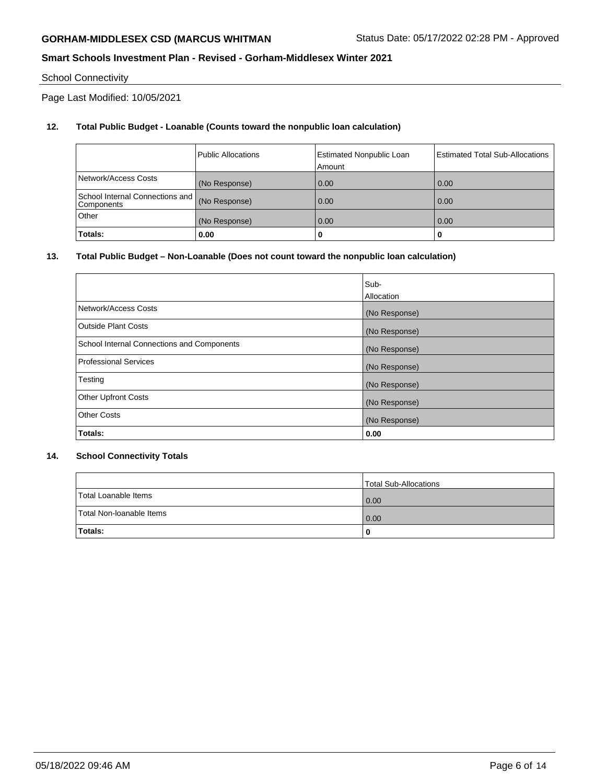## School Connectivity

Page Last Modified: 10/05/2021

## **12. Total Public Budget - Loanable (Counts toward the nonpublic loan calculation)**

|                                               | Public Allocations | <b>Estimated Nonpublic Loan</b><br>Amount | Estimated Total Sub-Allocations |
|-----------------------------------------------|--------------------|-------------------------------------------|---------------------------------|
| Network/Access Costs                          | (No Response)      | 0.00                                      | 0.00                            |
| School Internal Connections and<br>Components | (No Response)      | 0.00                                      | 0.00                            |
| Other                                         | (No Response)      | 0.00                                      | 0.00                            |
| Totals:                                       | 0.00               | u                                         | 0                               |

## **13. Total Public Budget – Non-Loanable (Does not count toward the nonpublic loan calculation)**

|                                            | Sub-          |
|--------------------------------------------|---------------|
|                                            | Allocation    |
| Network/Access Costs                       | (No Response) |
| <b>Outside Plant Costs</b>                 | (No Response) |
| School Internal Connections and Components | (No Response) |
| <b>Professional Services</b>               | (No Response) |
| Testing                                    | (No Response) |
| <b>Other Upfront Costs</b>                 | (No Response) |
| <b>Other Costs</b>                         | (No Response) |
| Totals:                                    | 0.00          |

### **14. School Connectivity Totals**

|                          | Total Sub-Allocations |
|--------------------------|-----------------------|
| Total Loanable Items     | $\overline{0.00}$     |
| Total Non-Ioanable Items | 0.00                  |
| Totals:                  | 0                     |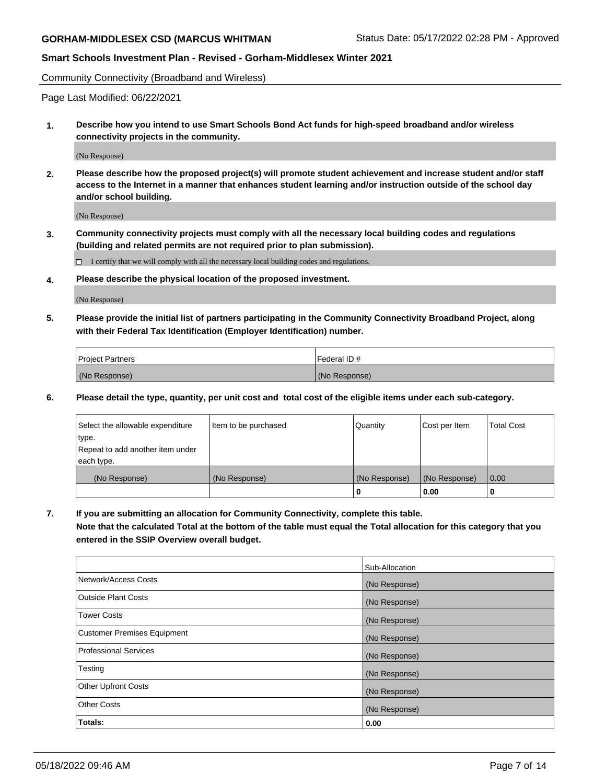Community Connectivity (Broadband and Wireless)

Page Last Modified: 06/22/2021

**1. Describe how you intend to use Smart Schools Bond Act funds for high-speed broadband and/or wireless connectivity projects in the community.**

(No Response)

**2. Please describe how the proposed project(s) will promote student achievement and increase student and/or staff access to the Internet in a manner that enhances student learning and/or instruction outside of the school day and/or school building.**

(No Response)

**3. Community connectivity projects must comply with all the necessary local building codes and regulations (building and related permits are not required prior to plan submission).**

 $\Box$  I certify that we will comply with all the necessary local building codes and regulations.

**4. Please describe the physical location of the proposed investment.**

(No Response)

**5. Please provide the initial list of partners participating in the Community Connectivity Broadband Project, along with their Federal Tax Identification (Employer Identification) number.**

| <b>Project Partners</b> | l Federal ID # |
|-------------------------|----------------|
| (No Response)           | (No Response)  |

**6. Please detail the type, quantity, per unit cost and total cost of the eligible items under each sub-category.**

| Select the allowable expenditure          | Item to be purchased | Quantity      | Cost per Item | <b>Total Cost</b> |
|-------------------------------------------|----------------------|---------------|---------------|-------------------|
| type.<br>Repeat to add another item under |                      |               |               |                   |
| each type.                                |                      |               |               |                   |
| (No Response)                             | (No Response)        | (No Response) | (No Response) | 0.00              |
|                                           |                      | 0             | 0.00          |                   |

**7. If you are submitting an allocation for Community Connectivity, complete this table.**

**Note that the calculated Total at the bottom of the table must equal the Total allocation for this category that you entered in the SSIP Overview overall budget.**

|                                    | Sub-Allocation |
|------------------------------------|----------------|
| Network/Access Costs               | (No Response)  |
| Outside Plant Costs                | (No Response)  |
| <b>Tower Costs</b>                 | (No Response)  |
| <b>Customer Premises Equipment</b> | (No Response)  |
| Professional Services              | (No Response)  |
| Testing                            | (No Response)  |
| <b>Other Upfront Costs</b>         | (No Response)  |
| <b>Other Costs</b>                 | (No Response)  |
| Totals:                            | 0.00           |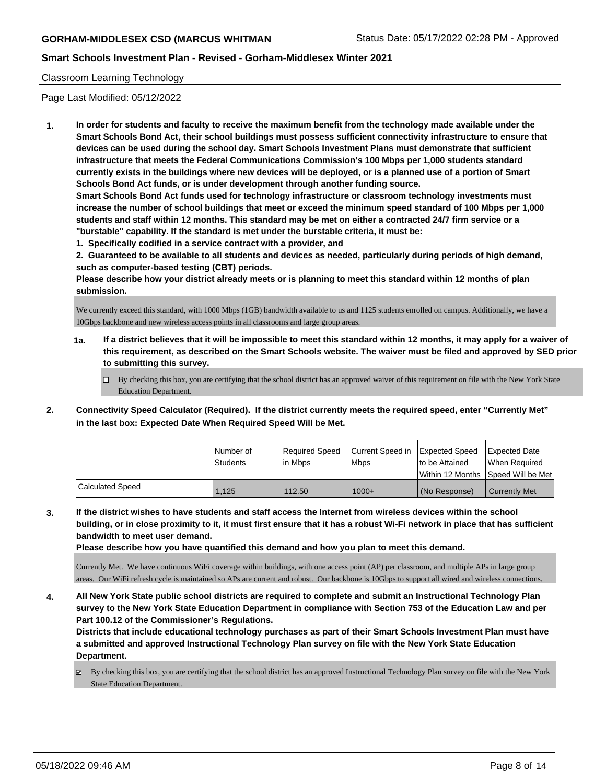## Classroom Learning Technology

Page Last Modified: 05/12/2022

**1. In order for students and faculty to receive the maximum benefit from the technology made available under the Smart Schools Bond Act, their school buildings must possess sufficient connectivity infrastructure to ensure that devices can be used during the school day. Smart Schools Investment Plans must demonstrate that sufficient infrastructure that meets the Federal Communications Commission's 100 Mbps per 1,000 students standard currently exists in the buildings where new devices will be deployed, or is a planned use of a portion of Smart Schools Bond Act funds, or is under development through another funding source.**

**Smart Schools Bond Act funds used for technology infrastructure or classroom technology investments must increase the number of school buildings that meet or exceed the minimum speed standard of 100 Mbps per 1,000 students and staff within 12 months. This standard may be met on either a contracted 24/7 firm service or a "burstable" capability. If the standard is met under the burstable criteria, it must be:**

**1. Specifically codified in a service contract with a provider, and**

**2. Guaranteed to be available to all students and devices as needed, particularly during periods of high demand, such as computer-based testing (CBT) periods.**

**Please describe how your district already meets or is planning to meet this standard within 12 months of plan submission.**

We currently exceed this standard, with 1000 Mbps (1GB) bandwidth available to us and 1125 students enrolled on campus. Additionally, we have a 10Gbps backbone and new wireless access points in all classrooms and large group areas.

- **1a. If a district believes that it will be impossible to meet this standard within 12 months, it may apply for a waiver of this requirement, as described on the Smart Schools website. The waiver must be filed and approved by SED prior to submitting this survey.**
	- By checking this box, you are certifying that the school district has an approved waiver of this requirement on file with the New York State Education Department.
- **2. Connectivity Speed Calculator (Required). If the district currently meets the required speed, enter "Currently Met" in the last box: Expected Date When Required Speed Will be Met.**

|                         | l Number of     | Required Speed | Current Speed in | Expected Speed  | Expected Date                       |
|-------------------------|-----------------|----------------|------------------|-----------------|-------------------------------------|
|                         | <b>Students</b> | l in Mbps      | <b>Mbps</b>      | Ito be Attained | When Required                       |
|                         |                 |                |                  |                 | Within 12 Months ISpeed Will be Met |
| <b>Calculated Speed</b> | 1.125           | 112.50         | $1000+$          | (No Response)   | <b>Currently Met</b>                |

**3. If the district wishes to have students and staff access the Internet from wireless devices within the school building, or in close proximity to it, it must first ensure that it has a robust Wi-Fi network in place that has sufficient bandwidth to meet user demand.**

**Please describe how you have quantified this demand and how you plan to meet this demand.**

Currently Met. We have continuous WiFi coverage within buildings, with one access point (AP) per classroom, and multiple APs in large group areas. Our WiFi refresh cycle is maintained so APs are current and robust. Our backbone is 10Gbps to support all wired and wireless connections.

**4. All New York State public school districts are required to complete and submit an Instructional Technology Plan survey to the New York State Education Department in compliance with Section 753 of the Education Law and per Part 100.12 of the Commissioner's Regulations.**

**Districts that include educational technology purchases as part of their Smart Schools Investment Plan must have a submitted and approved Instructional Technology Plan survey on file with the New York State Education Department.**

By checking this box, you are certifying that the school district has an approved Instructional Technology Plan survey on file with the New York State Education Department.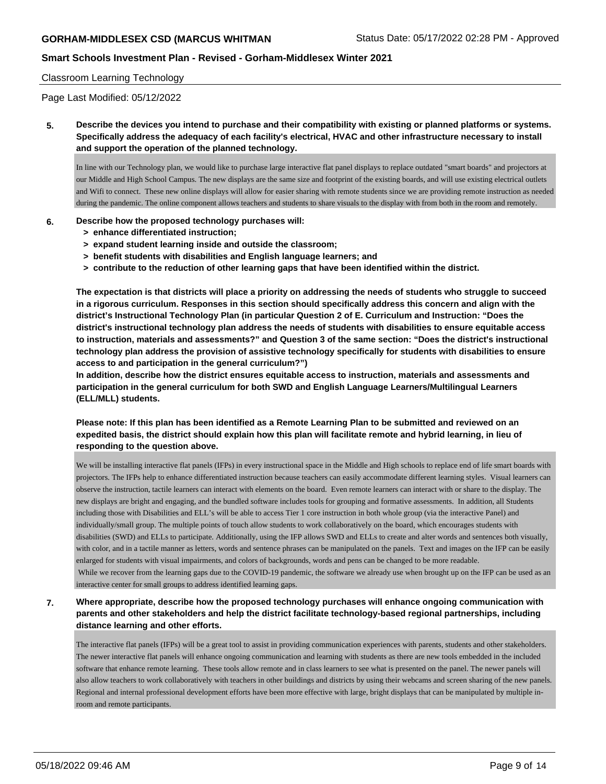### Classroom Learning Technology

Page Last Modified: 05/12/2022

**5. Describe the devices you intend to purchase and their compatibility with existing or planned platforms or systems. Specifically address the adequacy of each facility's electrical, HVAC and other infrastructure necessary to install and support the operation of the planned technology.**

In line with our Technology plan, we would like to purchase large interactive flat panel displays to replace outdated "smart boards" and projectors at our Middle and High School Campus. The new displays are the same size and footprint of the existing boards, and will use existing electrical outlets and Wifi to connect. These new online displays will allow for easier sharing with remote students since we are providing remote instruction as needed during the pandemic. The online component allows teachers and students to share visuals to the display with from both in the room and remotely.

### **6. Describe how the proposed technology purchases will:**

- **> enhance differentiated instruction;**
- **> expand student learning inside and outside the classroom;**
- **> benefit students with disabilities and English language learners; and**
- **> contribute to the reduction of other learning gaps that have been identified within the district.**

**The expectation is that districts will place a priority on addressing the needs of students who struggle to succeed in a rigorous curriculum. Responses in this section should specifically address this concern and align with the district's Instructional Technology Plan (in particular Question 2 of E. Curriculum and Instruction: "Does the district's instructional technology plan address the needs of students with disabilities to ensure equitable access to instruction, materials and assessments?" and Question 3 of the same section: "Does the district's instructional technology plan address the provision of assistive technology specifically for students with disabilities to ensure access to and participation in the general curriculum?")**

**In addition, describe how the district ensures equitable access to instruction, materials and assessments and participation in the general curriculum for both SWD and English Language Learners/Multilingual Learners (ELL/MLL) students.**

## **Please note: If this plan has been identified as a Remote Learning Plan to be submitted and reviewed on an expedited basis, the district should explain how this plan will facilitate remote and hybrid learning, in lieu of responding to the question above.**

We will be installing interactive flat panels (IFPs) in every instructional space in the Middle and High schools to replace end of life smart boards with projectors. The IFPs help to enhance differentiated instruction because teachers can easily accommodate different learning styles. Visual learners can observe the instruction, tactile learners can interact with elements on the board. Even remote learners can interact with or share to the display. The new displays are bright and engaging, and the bundled software includes tools for grouping and formative assessments. In addition, all Students including those with Disabilities and ELL's will be able to access Tier 1 core instruction in both whole group (via the interactive Panel) and individually/small group. The multiple points of touch allow students to work collaboratively on the board, which encourages students with disabilities (SWD) and ELLs to participate. Additionally, using the IFP allows SWD and ELLs to create and alter words and sentences both visually, with color, and in a tactile manner as letters, words and sentence phrases can be manipulated on the panels. Text and images on the IFP can be easily enlarged for students with visual impairments, and colors of backgrounds, words and pens can be changed to be more readable. While we recover from the learning gaps due to the COVID-19 pandemic, the software we already use when brought up on the IFP can be used as an interactive center for small groups to address identified learning gaps.

**7. Where appropriate, describe how the proposed technology purchases will enhance ongoing communication with parents and other stakeholders and help the district facilitate technology-based regional partnerships, including distance learning and other efforts.**

The interactive flat panels (IFPs) will be a great tool to assist in providing communication experiences with parents, students and other stakeholders. The newer interactive flat panels will enhance ongoing communication and learning with students as there are new tools embedded in the included software that enhance remote learning. These tools allow remote and in class learners to see what is presented on the panel. The newer panels will also allow teachers to work collaboratively with teachers in other buildings and districts by using their webcams and screen sharing of the new panels. Regional and internal professional development efforts have been more effective with large, bright displays that can be manipulated by multiple inroom and remote participants.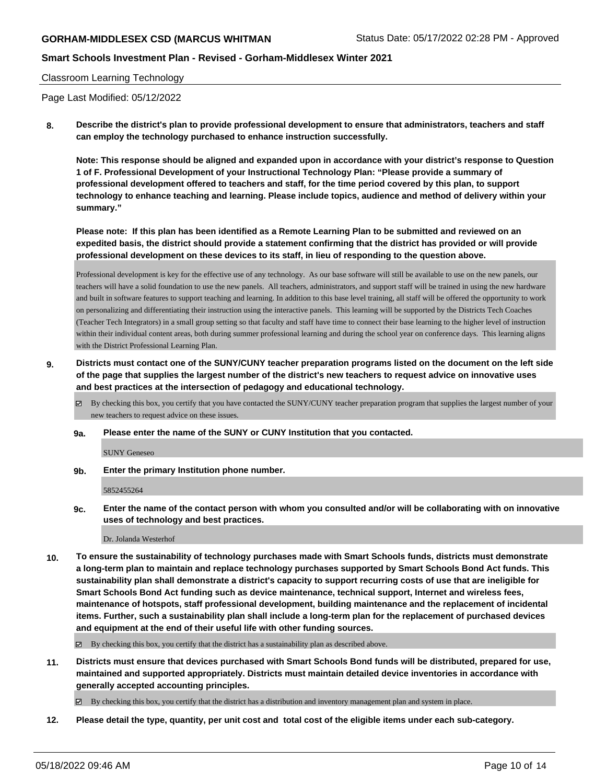## **Smart Schools Investment Plan - Revised - Gorham-Middlesex Winter 2021**

### Classroom Learning Technology

Page Last Modified: 05/12/2022

**8. Describe the district's plan to provide professional development to ensure that administrators, teachers and staff can employ the technology purchased to enhance instruction successfully.**

**Note: This response should be aligned and expanded upon in accordance with your district's response to Question 1 of F. Professional Development of your Instructional Technology Plan: "Please provide a summary of professional development offered to teachers and staff, for the time period covered by this plan, to support technology to enhance teaching and learning. Please include topics, audience and method of delivery within your summary."**

**Please note: If this plan has been identified as a Remote Learning Plan to be submitted and reviewed on an expedited basis, the district should provide a statement confirming that the district has provided or will provide professional development on these devices to its staff, in lieu of responding to the question above.**

Professional development is key for the effective use of any technology. As our base software will still be available to use on the new panels, our teachers will have a solid foundation to use the new panels. All teachers, administrators, and support staff will be trained in using the new hardware and built in software features to support teaching and learning. In addition to this base level training, all staff will be offered the opportunity to work on personalizing and differentiating their instruction using the interactive panels. This learning will be supported by the Districts Tech Coaches (Teacher Tech Integrators) in a small group setting so that faculty and staff have time to connect their base learning to the higher level of instruction within their individual content areas, both during summer professional learning and during the school year on conference days. This learning aligns with the District Professional Learning Plan.

**9. Districts must contact one of the SUNY/CUNY teacher preparation programs listed on the document on the left side of the page that supplies the largest number of the district's new teachers to request advice on innovative uses and best practices at the intersection of pedagogy and educational technology.**

By checking this box, you certify that you have contacted the SUNY/CUNY teacher preparation program that supplies the largest number of your new teachers to request advice on these issues.

**9a. Please enter the name of the SUNY or CUNY Institution that you contacted.**

SUNY Geneseo

**9b. Enter the primary Institution phone number.**

5852455264

**9c. Enter the name of the contact person with whom you consulted and/or will be collaborating with on innovative uses of technology and best practices.**

Dr. Jolanda Westerhof

**10. To ensure the sustainability of technology purchases made with Smart Schools funds, districts must demonstrate a long-term plan to maintain and replace technology purchases supported by Smart Schools Bond Act funds. This sustainability plan shall demonstrate a district's capacity to support recurring costs of use that are ineligible for Smart Schools Bond Act funding such as device maintenance, technical support, Internet and wireless fees, maintenance of hotspots, staff professional development, building maintenance and the replacement of incidental items. Further, such a sustainability plan shall include a long-term plan for the replacement of purchased devices and equipment at the end of their useful life with other funding sources.**

By checking this box, you certify that the district has a sustainability plan as described above.

**11. Districts must ensure that devices purchased with Smart Schools Bond funds will be distributed, prepared for use, maintained and supported appropriately. Districts must maintain detailed device inventories in accordance with generally accepted accounting principles.**

By checking this box, you certify that the district has a distribution and inventory management plan and system in place.

**12. Please detail the type, quantity, per unit cost and total cost of the eligible items under each sub-category.**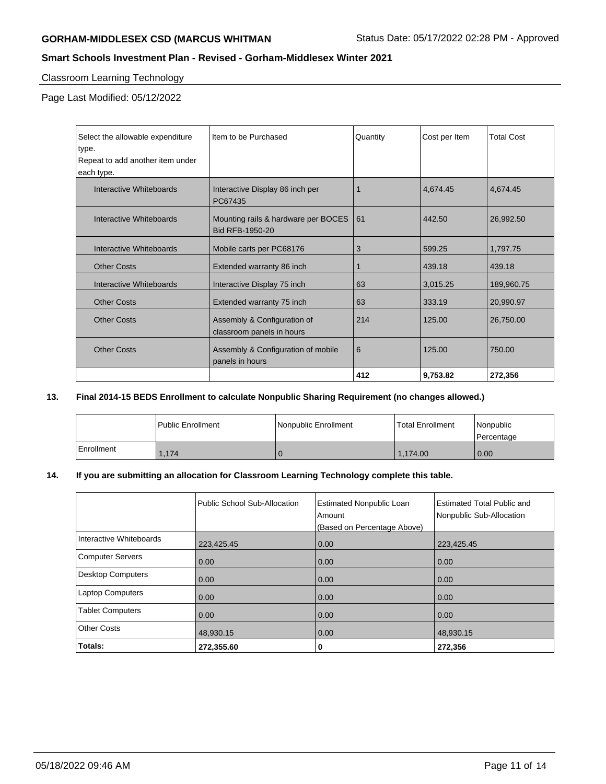# **Smart Schools Investment Plan - Revised - Gorham-Middlesex Winter 2021**

## Classroom Learning Technology

Page Last Modified: 05/12/2022

| Select the allowable expenditure | Item to be Purchased                                     | Quantity | Cost per Item | <b>Total Cost</b> |
|----------------------------------|----------------------------------------------------------|----------|---------------|-------------------|
| type.                            |                                                          |          |               |                   |
| Repeat to add another item under |                                                          |          |               |                   |
| each type.                       |                                                          |          |               |                   |
| Interactive Whiteboards          | Interactive Display 86 inch per<br>PC67435               |          | 4,674.45      | 4,674.45          |
| Interactive Whiteboards          | Mounting rails & hardware per BOCES<br>Bid RFB-1950-20   | 61       | 442.50        | 26,992.50         |
| Interactive Whiteboards          | Mobile carts per PC68176                                 | 3        | 599.25        | 1,797.75          |
| <b>Other Costs</b>               | Extended warranty 86 inch                                |          | 439.18        | 439.18            |
| Interactive Whiteboards          | Interactive Display 75 inch                              | 63       | 3,015.25      | 189,960.75        |
| <b>Other Costs</b>               | Extended warranty 75 inch                                | 63       | 333.19        | 20,990.97         |
| <b>Other Costs</b>               | Assembly & Configuration of<br>classroom panels in hours | 214      | 125.00        | 26,750.00         |
| <b>Other Costs</b>               | Assembly & Configuration of mobile<br>panels in hours    | 6        | 125.00        | 750.00            |
|                                  |                                                          | 412      | 9,753.82      | 272,356           |

## **13. Final 2014-15 BEDS Enrollment to calculate Nonpublic Sharing Requirement (no changes allowed.)**

|            | Public Enrollment | Nonpublic Enrollment | Total Enrollment | Nonpublic<br>l Percentage |
|------------|-------------------|----------------------|------------------|---------------------------|
| Enrollment | 1.174             |                      | 1.174.00         | 0.00                      |

## **14. If you are submitting an allocation for Classroom Learning Technology complete this table.**

|                          | Public School Sub-Allocation | <b>Estimated Nonpublic Loan</b><br>Amount<br>(Based on Percentage Above) | <b>Estimated Total Public and</b><br>Nonpublic Sub-Allocation |
|--------------------------|------------------------------|--------------------------------------------------------------------------|---------------------------------------------------------------|
| Interactive Whiteboards  | 223,425.45                   | 0.00                                                                     | 223,425.45                                                    |
| <b>Computer Servers</b>  | 0.00                         | 0.00                                                                     | 0.00                                                          |
| <b>Desktop Computers</b> | 0.00                         | 0.00                                                                     | 0.00                                                          |
| <b>Laptop Computers</b>  | 0.00                         | 0.00                                                                     | 0.00                                                          |
| <b>Tablet Computers</b>  | 0.00                         | 0.00                                                                     | 0.00                                                          |
| Other Costs              | 48,930.15                    | 0.00                                                                     | 48,930.15                                                     |
| Totals:                  | 272,355.60                   | 0                                                                        | 272,356                                                       |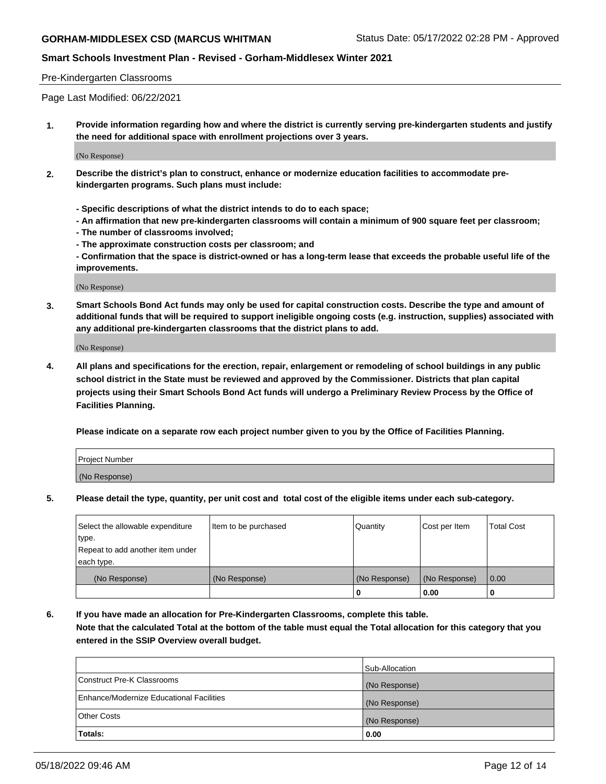# **Smart Schools Investment Plan - Revised - Gorham-Middlesex Winter 2021**

### Pre-Kindergarten Classrooms

Page Last Modified: 06/22/2021

**1. Provide information regarding how and where the district is currently serving pre-kindergarten students and justify the need for additional space with enrollment projections over 3 years.**

(No Response)

- **2. Describe the district's plan to construct, enhance or modernize education facilities to accommodate prekindergarten programs. Such plans must include:**
	- **Specific descriptions of what the district intends to do to each space;**
	- **An affirmation that new pre-kindergarten classrooms will contain a minimum of 900 square feet per classroom;**
	- **The number of classrooms involved;**
	- **The approximate construction costs per classroom; and**
	- **Confirmation that the space is district-owned or has a long-term lease that exceeds the probable useful life of the improvements.**

(No Response)

**3. Smart Schools Bond Act funds may only be used for capital construction costs. Describe the type and amount of additional funds that will be required to support ineligible ongoing costs (e.g. instruction, supplies) associated with any additional pre-kindergarten classrooms that the district plans to add.**

(No Response)

**4. All plans and specifications for the erection, repair, enlargement or remodeling of school buildings in any public school district in the State must be reviewed and approved by the Commissioner. Districts that plan capital projects using their Smart Schools Bond Act funds will undergo a Preliminary Review Process by the Office of Facilities Planning.**

**Please indicate on a separate row each project number given to you by the Office of Facilities Planning.**

| Project Number |  |
|----------------|--|
| (No Response)  |  |

**5. Please detail the type, quantity, per unit cost and total cost of the eligible items under each sub-category.**

| Select the allowable expenditure          | Item to be purchased | Quantity      | Cost per Item | <b>Total Cost</b> |
|-------------------------------------------|----------------------|---------------|---------------|-------------------|
| type.<br>Repeat to add another item under |                      |               |               |                   |
| each type.                                |                      |               |               |                   |
| (No Response)                             | (No Response)        | (No Response) | (No Response) | 0.00              |
|                                           |                      | o             | 0.00          |                   |

**6. If you have made an allocation for Pre-Kindergarten Classrooms, complete this table.**

**Note that the calculated Total at the bottom of the table must equal the Total allocation for this category that you entered in the SSIP Overview overall budget.**

|                                          | Sub-Allocation |
|------------------------------------------|----------------|
| Construct Pre-K Classrooms               | (No Response)  |
| Enhance/Modernize Educational Facilities | (No Response)  |
| <b>Other Costs</b>                       | (No Response)  |
| Totals:                                  | 0.00           |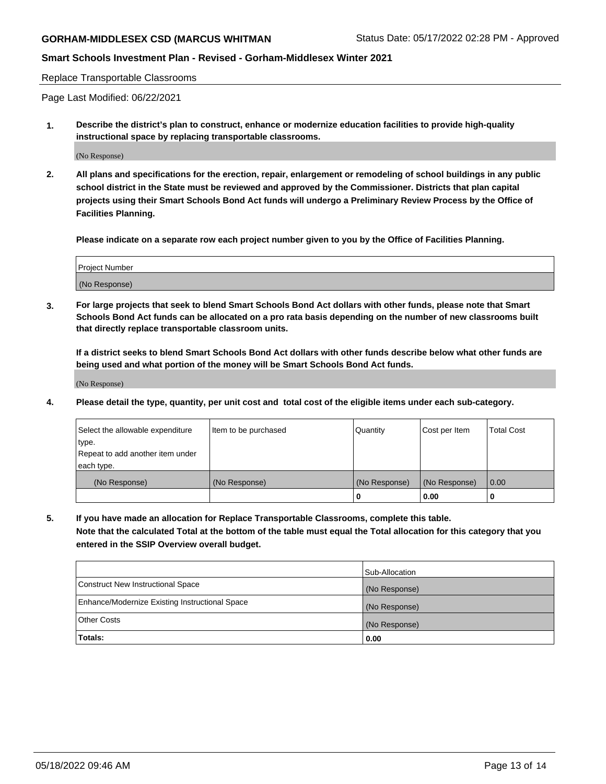## **Smart Schools Investment Plan - Revised - Gorham-Middlesex Winter 2021**

Replace Transportable Classrooms

Page Last Modified: 06/22/2021

**1. Describe the district's plan to construct, enhance or modernize education facilities to provide high-quality instructional space by replacing transportable classrooms.**

(No Response)

**2. All plans and specifications for the erection, repair, enlargement or remodeling of school buildings in any public school district in the State must be reviewed and approved by the Commissioner. Districts that plan capital projects using their Smart Schools Bond Act funds will undergo a Preliminary Review Process by the Office of Facilities Planning.**

**Please indicate on a separate row each project number given to you by the Office of Facilities Planning.**

| <b>Project Number</b> |  |
|-----------------------|--|
| (No Response)         |  |

**3. For large projects that seek to blend Smart Schools Bond Act dollars with other funds, please note that Smart Schools Bond Act funds can be allocated on a pro rata basis depending on the number of new classrooms built that directly replace transportable classroom units.**

**If a district seeks to blend Smart Schools Bond Act dollars with other funds describe below what other funds are being used and what portion of the money will be Smart Schools Bond Act funds.**

(No Response)

**4. Please detail the type, quantity, per unit cost and total cost of the eligible items under each sub-category.**

| Select the allowable expenditure | Item to be purchased | Quantity      | Cost per Item | <b>Total Cost</b> |
|----------------------------------|----------------------|---------------|---------------|-------------------|
| type.                            |                      |               |               |                   |
| Repeat to add another item under |                      |               |               |                   |
| each type.                       |                      |               |               |                   |
| (No Response)                    | (No Response)        | (No Response) | (No Response) | 0.00              |
|                                  |                      | U             | 0.00          |                   |

**5. If you have made an allocation for Replace Transportable Classrooms, complete this table.**

**Note that the calculated Total at the bottom of the table must equal the Total allocation for this category that you entered in the SSIP Overview overall budget.**

|                                                | Sub-Allocation |
|------------------------------------------------|----------------|
| Construct New Instructional Space              | (No Response)  |
| Enhance/Modernize Existing Instructional Space | (No Response)  |
| <b>Other Costs</b>                             | (No Response)  |
| Totals:                                        | 0.00           |